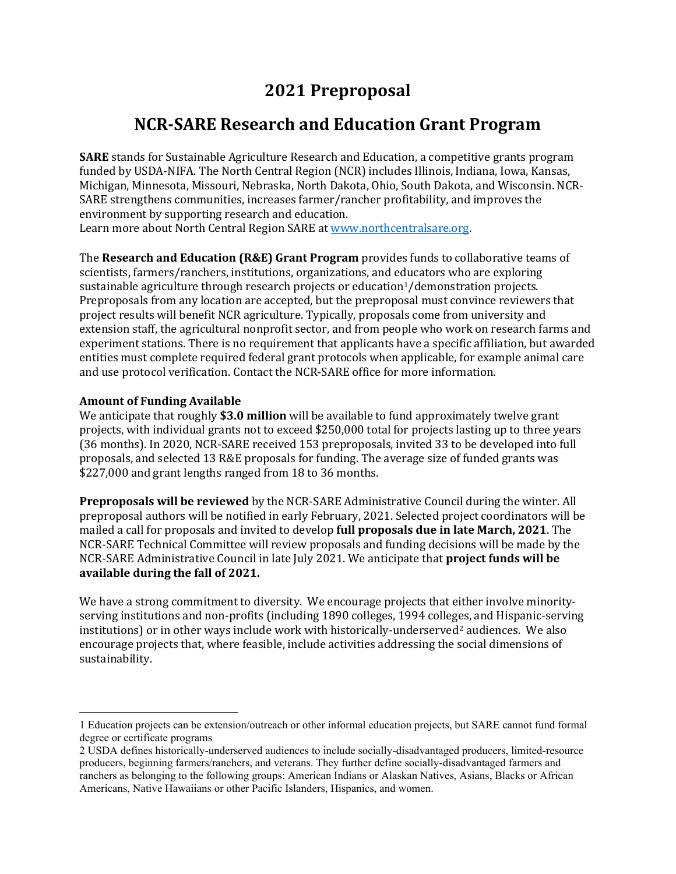# **2021 Preproposal**

## **NCR-SARE Research and Education Grant Program**

**SARE** stands for Sustainable Agriculture Research and Education, a competitive grants program funded by USDA-NIFA. The North Central Region (NCR) includes Illinois, Indiana, Iowa, Kansas, Michigan, Minnesota, Missouri, Nebraska, North Dakota, Ohio, South Dakota, and Wisconsin. NCR-SARE strengthens communities, increases farmer/rancher profitability, and improves the environment by supporting research and education. Learn more about North Central Region SARE at [www.northcentralsare.org.](http://www.northcentralsare.org/)

The **Research and Education (R&E) Grant Program** provides funds to collaborative teams of scientists, farmers/ranchers, institutions, organizations, and educators who are exploring sustainable agriculture through research projects or education<sup>[1](#page-0-0)</sup>/demonstration projects. Preproposals from any location are accepted, but the preproposal must convince reviewers that project results will benefit NCR agriculture. Typically, proposals come from university and extension staff, the agricultural nonprofit sector, and from people who work on research farms and experiment stations. There is no requirement that applicants have a specific affiliation, but awarded entities must complete required federal grant protocols when applicable, for example animal care and use protocol verification. Contact the NCR-SARE office for more information.

#### **Amount of Funding Available**

We anticipate that roughly **\$3.0 million** will be available to fund approximately twelve grant projects, with individual grants not to exceed \$250,000 total for projects lasting up to three years (36 months). In 2020, NCR-SARE received 153 preproposals, invited 33 to be developed into full proposals, and selected 13 R&E proposals for funding. The average size of funded grants was \$227,000 and grant lengths ranged from 18 to 36 months.

**Preproposals will be reviewed** by the NCR-SARE Administrative Council during the winter. All preproposal authors will be notified in early February, 2021. Selected project coordinators will be mailed a call for proposals and invited to develop **full proposals due in late March, 2021**. The NCR-SARE Technical Committee will review proposals and funding decisions will be made by the NCR-SARE Administrative Council in late July 2021. We anticipate that **project funds will be available during the fall of 2021.** 

We have a strong commitment to diversity. We encourage projects that either involve minorityserving institutions and non-profits (including 1890 colleges, 1994 colleges, and Hispanic-serving institutions) or in other ways include work with historically-underserved<sup>[2](#page-0-1)</sup> audiences. We also encourage projects that, where feasible, include activities addressing the social dimensions of sustainability.

<span id="page-0-0"></span><sup>1</sup> Education projects can be extension/outreach or other informal education projects, but SARE cannot fund formal degree or certificate programs

<span id="page-0-1"></span><sup>2</sup> USDA defines historically-underserved audiences to include socially-disadvantaged producers, limited-resource producers, beginning farmers/ranchers, and veterans. They further define socially-disadvantaged farmers and ranchers as belonging to the following groups: American Indians or Alaskan Natives, Asians, Blacks or African Americans, Native Hawaiians or other Pacific Islanders, Hispanics, and women.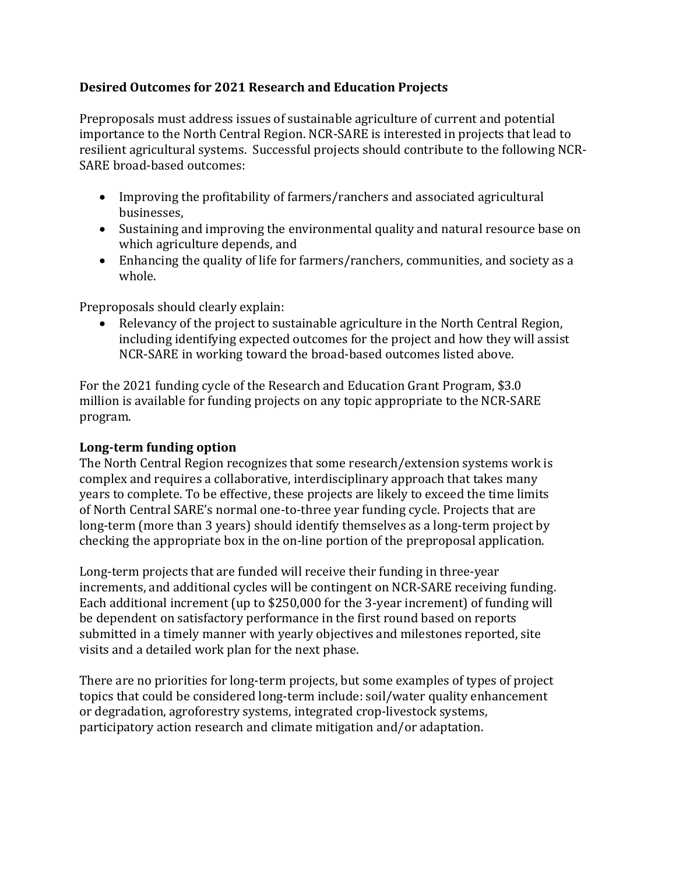## **Desired Outcomes for 2021 Research and Education Projects**

Preproposals must address issues of sustainable agriculture of current and potential importance to the North Central Region. NCR-SARE is interested in projects that lead to resilient agricultural systems. Successful projects should contribute to the following NCR-SARE broad-based outcomes:

- Improving the profitability of farmers/ranchers and associated agricultural businesses,
- Sustaining and improving the environmental quality and natural resource base on which agriculture depends, and
- Enhancing the quality of life for farmers/ranchers, communities, and society as a whole.

Preproposals should clearly explain:

• Relevancy of the project to sustainable agriculture in the North Central Region, including identifying expected outcomes for the project and how they will assist NCR-SARE in working toward the broad-based outcomes listed above.

For the 2021 funding cycle of the Research and Education Grant Program, \$3.0 million is available for funding projects on any topic appropriate to the NCR-SARE program.

#### **Long-term funding option**

The North Central Region recognizes that some research/extension systems work is complex and requires a collaborative, interdisciplinary approach that takes many years to complete. To be effective, these projects are likely to exceed the time limits of North Central SARE's normal one-to-three year funding cycle. Projects that are long-term (more than 3 years) should identify themselves as a long-term project by checking the appropriate box in the on-line portion of the preproposal application.

Long-term projects that are funded will receive their funding in three-year increments, and additional cycles will be contingent on NCR-SARE receiving funding. Each additional increment (up to \$250,000 for the 3-year increment) of funding will be dependent on satisfactory performance in the first round based on reports submitted in a timely manner with yearly objectives and milestones reported, site visits and a detailed work plan for the next phase.

There are no priorities for long-term projects, but some examples of types of project topics that could be considered long-term include: soil/water quality enhancement or degradation, agroforestry systems, integrated crop-livestock systems, participatory action research and climate mitigation and/or adaptation.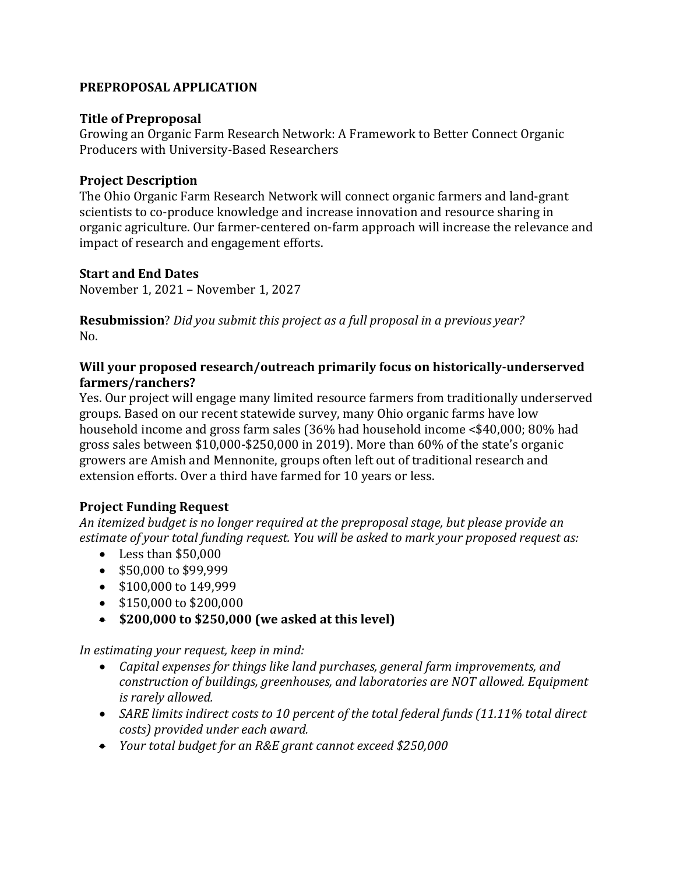## **PREPROPOSAL APPLICATION**

## **Title of Preproposal**

Growing an Organic Farm Research Network: A Framework to Better Connect Organic Producers with University-Based Researchers

## **Project Description**

The Ohio Organic Farm Research Network will connect organic farmers and land-grant scientists to co-produce knowledge and increase innovation and resource sharing in organic agriculture. Our farmer-centered on-farm approach will increase the relevance and impact of research and engagement efforts.

## **Start and End Dates**

November 1, 2021 – November 1, 2027

**Resubmission**? *Did you submit this project as a full proposal in a previous year?*   $N_{\Omega}$ 

## **Will your proposed research/outreach primarily focus on historically-underserved farmers/ranchers?**

Yes. Our project will engage many limited resource farmers from traditionally underserved groups. Based on our recent statewide survey, many Ohio organic farms have low household income and gross farm sales (36% had household income <\$40,000; 80% had gross sales between \$10,000-\$250,000 in 2019). More than 60% of the state's organic growers are Amish and Mennonite, groups often left out of traditional research and extension efforts. Over a third have farmed for 10 years or less.

## **Project Funding Request**

*An itemized budget is no longer required at the preproposal stage, but please provide an estimate of your total funding request. You will be asked to mark your proposed request as:*

- Less than \$50,000
- \$50,000 to \$99,999
- \$100,000 to 149,999
- \$150,000 to \$200,000
- **\$200,000 to \$250,000 (we asked at this level)**

*In estimating your request, keep in mind:*

- *Capital expenses for things like land purchases, general farm improvements, and construction of buildings, greenhouses, and laboratories are NOT allowed. Equipment is rarely allowed.*
- *SARE limits indirect costs to 10 percent of the total federal funds (11.11% total direct costs) provided under each award.*
- *Your total budget for an R&E grant cannot exceed \$250,000*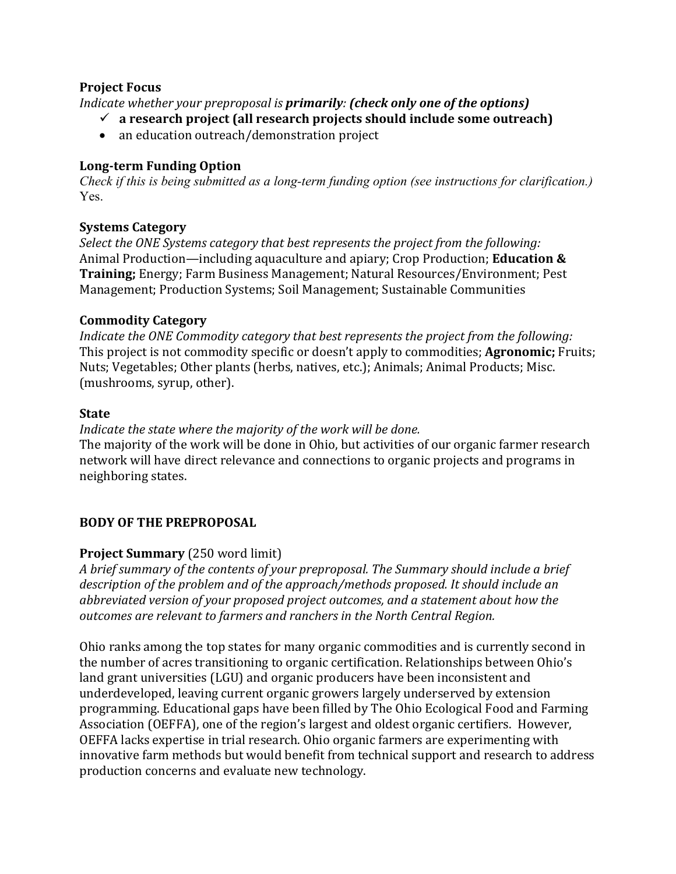## **Project Focus**

*Indicate whether your preproposal is primarily: (check only one of the options)*

- **a research project (all research projects should include some outreach)**
- an education outreach/demonstration project

## **Long-term Funding Option**

*Check if this is being submitted as a long-term funding option (see instructions for clarification.)*  Yes.

## **Systems Category**

*Select the ONE Systems category that best represents the project from the following:*  Animal Production—including aquaculture and apiary; Crop Production; **Education & Training;** Energy; Farm Business Management; Natural Resources/Environment; Pest Management; Production Systems; Soil Management; Sustainable Communities

## **Commodity Category**

*Indicate the ONE Commodity category that best represents the project from the following:* This project is not commodity specific or doesn't apply to commodities; **Agronomic;** Fruits; Nuts; Vegetables; Other plants (herbs, natives, etc.); Animals; Animal Products; Misc. (mushrooms, syrup, other).

#### **State**

#### *Indicate the state where the majority of the work will be done.*

The majority of the work will be done in Ohio, but activities of our organic farmer research network will have direct relevance and connections to organic projects and programs in neighboring states.

## **BODY OF THE PREPROPOSAL**

## **Project Summary** (250 word limit)

*A brief summary of the contents of your preproposal. The Summary should include a brief description of the problem and of the approach/methods proposed. It should include an abbreviated version of your proposed project outcomes, and a statement about how the outcomes are relevant to farmers and ranchers in the North Central Region.*

Ohio ranks among the top states for many organic commodities and is currently second in the number of acres transitioning to organic certification. Relationships between Ohio's land grant universities (LGU) and organic producers have been inconsistent and underdeveloped, leaving current organic growers largely underserved by extension programming. Educational gaps have been filled by The Ohio Ecological Food and Farming Association (OEFFA), one of the region's largest and oldest organic certifiers. However, OEFFA lacks expertise in trial research. Ohio organic farmers are experimenting with innovative farm methods but would benefit from technical support and research to address production concerns and evaluate new technology.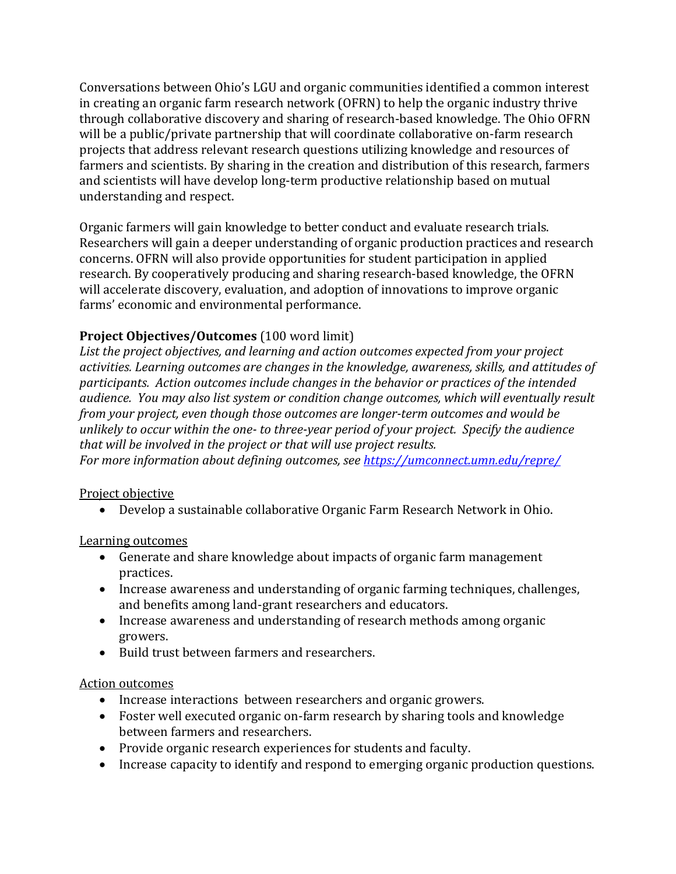Conversations between Ohio's LGU and organic communities identified a common interest in creating an organic farm research network (OFRN) to help the organic industry thrive through collaborative discovery and sharing of research-based knowledge. The Ohio OFRN will be a public/private partnership that will coordinate collaborative on-farm research projects that address relevant research questions utilizing knowledge and resources of farmers and scientists. By sharing in the creation and distribution of this research, farmers and scientists will have develop long-term productive relationship based on mutual understanding and respect.

Organic farmers will gain knowledge to better conduct and evaluate research trials. Researchers will gain a deeper understanding of organic production practices and research concerns. OFRN will also provide opportunities for student participation in applied research. By cooperatively producing and sharing research-based knowledge, the OFRN will accelerate discovery, evaluation, and adoption of innovations to improve organic farms' economic and environmental performance.

## **Project Objectives/Outcomes** (100 word limit)

*List the project objectives, and learning and action outcomes expected from your project activities. Learning outcomes are changes in the knowledge, awareness, skills, and attitudes of participants. Action outcomes include changes in the behavior or practices of the intended audience. You may also list system or condition change outcomes, which will eventually result from your project, even though those outcomes are longer-term outcomes and would be unlikely to occur within the one- to three-year period of your project. Specify the audience that will be involved in the project or that will use project results.* 

*For more information about defining outcomes, see<https://umconnect.umn.edu/repre/>*

#### Project objective

• Develop a sustainable collaborative Organic Farm Research Network in Ohio.

#### Learning outcomes

- Generate and share knowledge about impacts of organic farm management practices.
- Increase awareness and understanding of organic farming techniques, challenges, and benefits among land-grant researchers and educators.
- Increase awareness and understanding of research methods among organic growers.
- Build trust between farmers and researchers.

#### Action outcomes

- Increase interactions between researchers and organic growers.
- Foster well executed organic on-farm research by sharing tools and knowledge between farmers and researchers.
- Provide organic research experiences for students and faculty.
- Increase capacity to identify and respond to emerging organic production questions.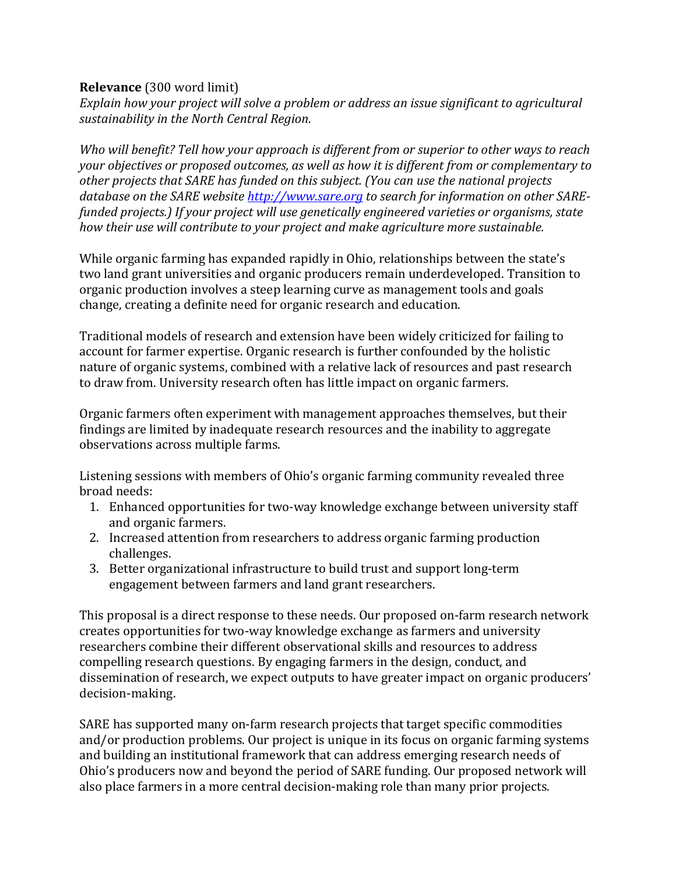## **Relevance** (300 word limit)

*Explain how your project will solve a problem or address an issue significant to agricultural sustainability in the North Central Region.*

*Who will benefit? Tell how your approach is different from or superior to other ways to reach your objectives or proposed outcomes, as well as how it is different from or complementary to other projects that SARE has funded on this subject. (You can use the national projects database on the SARE website [http://www.sare.org](http://www.sare.org/) to search for information on other SAREfunded projects.) If your project will use genetically engineered varieties or organisms, state how their use will contribute to your project and make agriculture more sustainable.*

While organic farming has expanded rapidly in Ohio, relationships between the state's two land grant universities and organic producers remain underdeveloped. Transition to organic production involves a steep learning curve as management tools and goals change, creating a definite need for organic research and education.

Traditional models of research and extension have been widely criticized for failing to account for farmer expertise. Organic research is further confounded by the holistic nature of organic systems, combined with a relative lack of resources and past research to draw from. University research often has little impact on organic farmers.

Organic farmers often experiment with management approaches themselves, but their findings are limited by inadequate research resources and the inability to aggregate observations across multiple farms.

Listening sessions with members of Ohio's organic farming community revealed three broad needs:

- 1. Enhanced opportunities for two-way knowledge exchange between university staff and organic farmers.
- 2. Increased attention from researchers to address organic farming production challenges.
- 3. Better organizational infrastructure to build trust and support long-term engagement between farmers and land grant researchers.

This proposal is a direct response to these needs. Our proposed on-farm research network creates opportunities for two-way knowledge exchange as farmers and university researchers combine their different observational skills and resources to address compelling research questions. By engaging farmers in the design, conduct, and dissemination of research, we expect outputs to have greater impact on organic producers' decision-making.

SARE has supported many on-farm research projects that target specific commodities and/or production problems. Our project is unique in its focus on organic farming systems and building an institutional framework that can address emerging research needs of Ohio's producers now and beyond the period of SARE funding. Our proposed network will also place farmers in a more central decision-making role than many prior projects.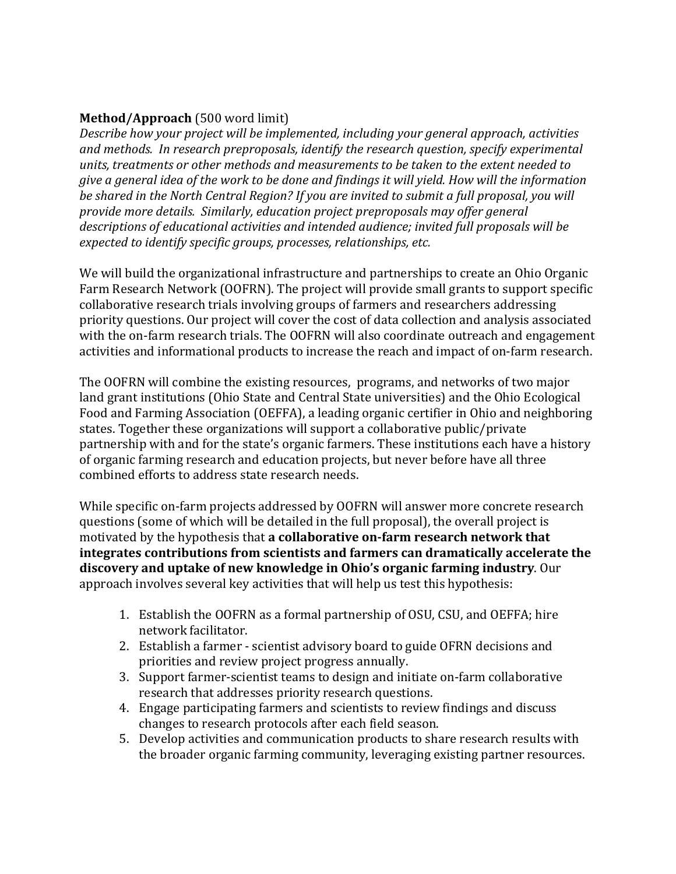## **Method/Approach** (500 word limit)

*Describe how your project will be implemented, including your general approach, activities and methods. In research preproposals, identify the research question, specify experimental units, treatments or other methods and measurements to be taken to the extent needed to give a general idea of the work to be done and findings it will yield. How will the information be shared in the North Central Region? If you are invited to submit a full proposal, you will provide more details. Similarly, education project preproposals may offer general descriptions of educational activities and intended audience; invited full proposals will be expected to identify specific groups, processes, relationships, etc.* 

We will build the organizational infrastructure and partnerships to create an Ohio Organic Farm Research Network (OOFRN). The project will provide small grants to support specific collaborative research trials involving groups of farmers and researchers addressing priority questions. Our project will cover the cost of data collection and analysis associated with the on-farm research trials. The OOFRN will also coordinate outreach and engagement activities and informational products to increase the reach and impact of on-farm research.

The OOFRN will combine the existing resources, programs, and networks of two major land grant institutions (Ohio State and Central State universities) and the Ohio Ecological Food and Farming Association (OEFFA), a leading organic certifier in Ohio and neighboring states. Together these organizations will support a collaborative public/private partnership with and for the state's organic farmers. These institutions each have a history of organic farming research and education projects, but never before have all three combined efforts to address state research needs.

While specific on-farm projects addressed by OOFRN will answer more concrete research questions (some of which will be detailed in the full proposal), the overall project is motivated by the hypothesis that **a collaborative on-farm research network that integrates contributions from scientists and farmers can dramatically accelerate the discovery and uptake of new knowledge in Ohio's organic farming industry**. Our approach involves several key activities that will help us test this hypothesis:

- 1. Establish the OOFRN as a formal partnership of OSU, CSU, and OEFFA; hire network facilitator.
- 2. Establish a farmer scientist advisory board to guide OFRN decisions and priorities and review project progress annually.
- 3. Support farmer-scientist teams to design and initiate on-farm collaborative research that addresses priority research questions.
- 4. Engage participating farmers and scientists to review findings and discuss changes to research protocols after each field season.
- 5. Develop activities and communication products to share research results with the broader organic farming community, leveraging existing partner resources.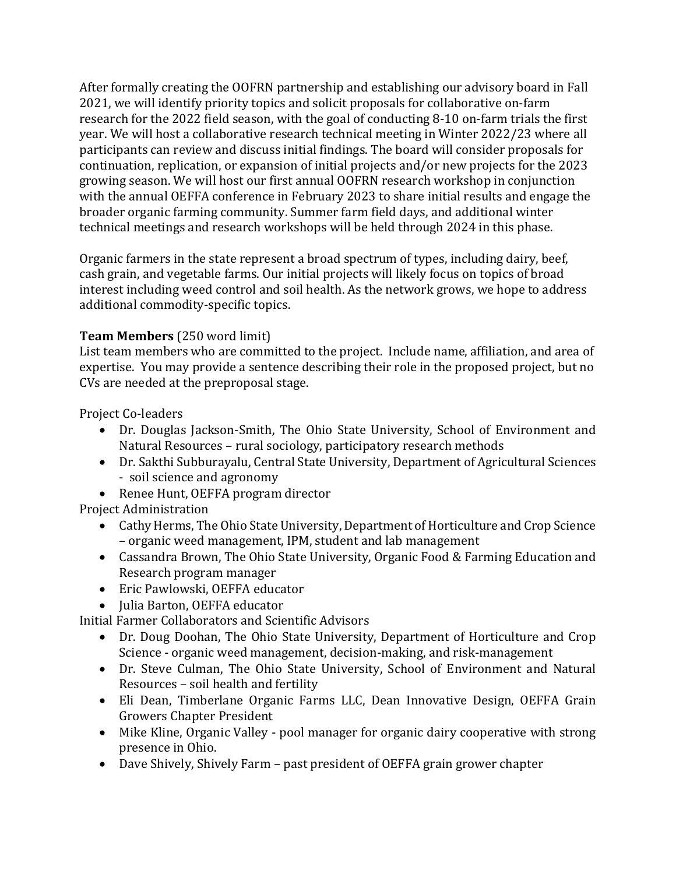After formally creating the OOFRN partnership and establishing our advisory board in Fall 2021, we will identify priority topics and solicit proposals for collaborative on-farm research for the 2022 field season, with the goal of conducting 8-10 on-farm trials the first year. We will host a collaborative research technical meeting in Winter 2022/23 where all participants can review and discuss initial findings. The board will consider proposals for continuation, replication, or expansion of initial projects and/or new projects for the 2023 growing season. We will host our first annual OOFRN research workshop in conjunction with the annual OEFFA conference in February 2023 to share initial results and engage the broader organic farming community. Summer farm field days, and additional winter technical meetings and research workshops will be held through 2024 in this phase.

Organic farmers in the state represent a broad spectrum of types, including dairy, beef, cash grain, and vegetable farms. Our initial projects will likely focus on topics of broad interest including weed control and soil health. As the network grows, we hope to address additional commodity-specific topics.

## **Team Members** (250 word limit)

List team members who are committed to the project. Include name, affiliation, and area of expertise. You may provide a sentence describing their role in the proposed project, but no CVs are needed at the preproposal stage.

Project Co-leaders

- Dr. Douglas Jackson-Smith, The Ohio State University, School of Environment and Natural Resources – rural sociology, participatory research methods
- Dr. Sakthi Subburayalu, Central State University, Department of Agricultural Sciences - soil science and agronomy
- Renee Hunt, OEFFA program director

Project Administration

- Cathy Herms, The Ohio State University, Department of Horticulture and Crop Science – organic weed management, IPM, student and lab management
- Cassandra Brown, The Ohio State University, Organic Food & Farming Education and Research program manager
- Eric Pawlowski, OEFFA educator
- Julia Barton, OEFFA educator

Initial Farmer Collaborators and Scientific Advisors

- Dr. Doug Doohan, The Ohio State University, Department of Horticulture and Crop Science - organic weed management, decision-making, and risk-management
- Dr. Steve Culman, The Ohio State University, School of Environment and Natural Resources – soil health and fertility
- Eli Dean, Timberlane Organic Farms LLC, Dean Innovative Design, OEFFA Grain Growers Chapter President
- Mike Kline, Organic Valley pool manager for organic dairy cooperative with strong presence in Ohio.
- Dave Shively, Shively Farm past president of OEFFA grain grower chapter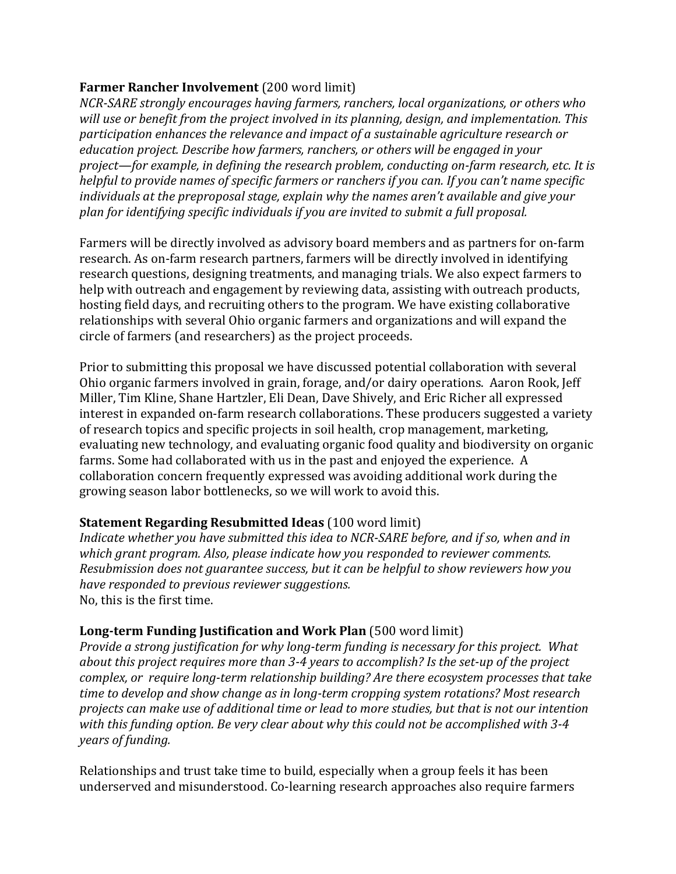## **Farmer Rancher Involvement** (200 word limit)

*NCR-SARE strongly encourages having farmers, ranchers, local organizations, or others who will use or benefit from the project involved in its planning, design, and implementation. This participation enhances the relevance and impact of a sustainable agriculture research or education project. Describe how farmers, ranchers, or others will be engaged in your project—for example, in defining the research problem, conducting on-farm research, etc. It is helpful to provide names of specific farmers or ranchers if you can. If you can't name specific individuals at the preproposal stage, explain why the names aren't available and give your plan for identifying specific individuals if you are invited to submit a full proposal.*

Farmers will be directly involved as advisory board members and as partners for on-farm research. As on-farm research partners, farmers will be directly involved in identifying research questions, designing treatments, and managing trials. We also expect farmers to help with outreach and engagement by reviewing data, assisting with outreach products, hosting field days, and recruiting others to the program. We have existing collaborative relationships with several Ohio organic farmers and organizations and will expand the circle of farmers (and researchers) as the project proceeds.

Prior to submitting this proposal we have discussed potential collaboration with several Ohio organic farmers involved in grain, forage, and/or dairy operations. Aaron Rook, Jeff Miller, Tim Kline, Shane Hartzler, Eli Dean, Dave Shively, and Eric Richer all expressed interest in expanded on-farm research collaborations. These producers suggested a variety of research topics and specific projects in soil health, crop management, marketing, evaluating new technology, and evaluating organic food quality and biodiversity on organic farms. Some had collaborated with us in the past and enjoyed the experience. A collaboration concern frequently expressed was avoiding additional work during the growing season labor bottlenecks, so we will work to avoid this.

## **Statement Regarding Resubmitted Ideas** (100 word limit)

*Indicate whether you have submitted this idea to NCR-SARE before, and if so, when and in which grant program. Also, please indicate how you responded to reviewer comments. Resubmission does not guarantee success, but it can be helpful to show reviewers how you have responded to previous reviewer suggestions.* No, this is the first time.

## **Long-term Funding Justification and Work Plan** (500 word limit)

*Provide a strong justification for why long-term funding is necessary for this project. What about this project requires more than 3-4 years to accomplish? Is the set-up of the project complex, or require long-term relationship building? Are there ecosystem processes that take time to develop and show change as in long-term cropping system rotations? Most research projects can make use of additional time or lead to more studies, but that is not our intention with this funding option. Be very clear about why this could not be accomplished with 3-4 years of funding.*

Relationships and trust take time to build, especially when a group feels it has been underserved and misunderstood. Co-learning research approaches also require farmers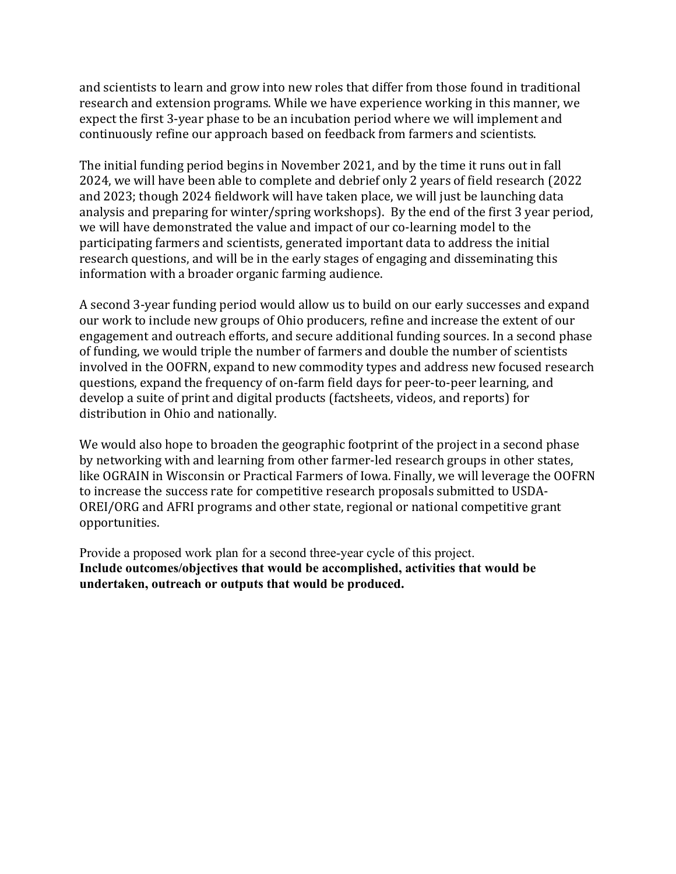and scientists to learn and grow into new roles that differ from those found in traditional research and extension programs. While we have experience working in this manner, we expect the first 3-year phase to be an incubation period where we will implement and continuously refine our approach based on feedback from farmers and scientists.

The initial funding period begins in November 2021, and by the time it runs out in fall 2024, we will have been able to complete and debrief only 2 years of field research (2022 and 2023; though 2024 fieldwork will have taken place, we will just be launching data analysis and preparing for winter/spring workshops). By the end of the first 3 year period, we will have demonstrated the value and impact of our co-learning model to the participating farmers and scientists, generated important data to address the initial research questions, and will be in the early stages of engaging and disseminating this information with a broader organic farming audience.

A second 3-year funding period would allow us to build on our early successes and expand our work to include new groups of Ohio producers, refine and increase the extent of our engagement and outreach efforts, and secure additional funding sources. In a second phase of funding, we would triple the number of farmers and double the number of scientists involved in the OOFRN, expand to new commodity types and address new focused research questions, expand the frequency of on-farm field days for peer-to-peer learning, and develop a suite of print and digital products (factsheets, videos, and reports) for distribution in Ohio and nationally.

We would also hope to broaden the geographic footprint of the project in a second phase by networking with and learning from other farmer-led research groups in other states, like OGRAIN in Wisconsin or Practical Farmers of Iowa. Finally, we will leverage the OOFRN to increase the success rate for competitive research proposals submitted to USDA-OREI/ORG and AFRI programs and other state, regional or national competitive grant opportunities.

Provide a proposed work plan for a second three-year cycle of this project. **Include outcomes/objectives that would be accomplished, activities that would be undertaken, outreach or outputs that would be produced.**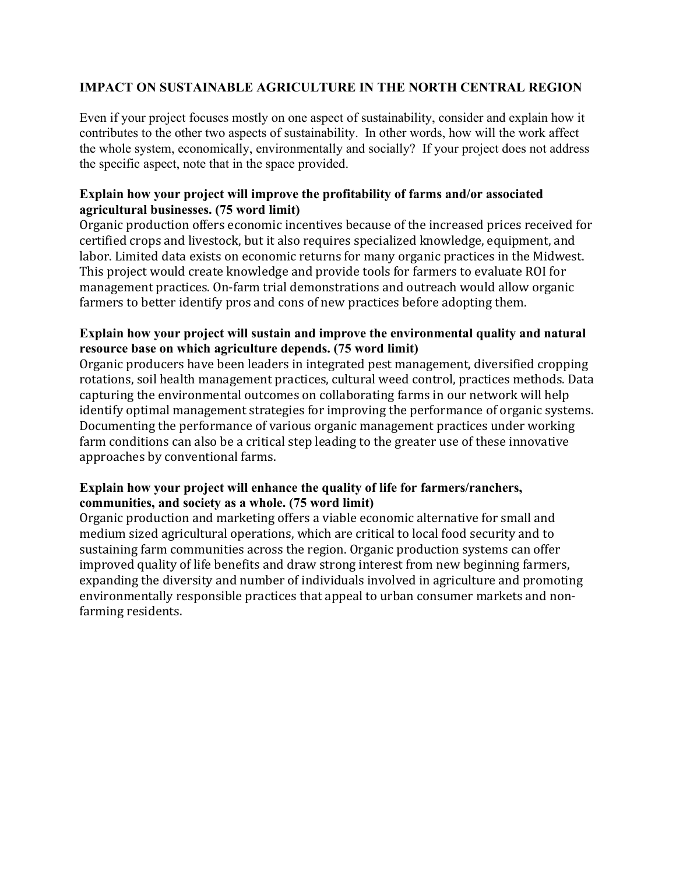#### **IMPACT ON SUSTAINABLE AGRICULTURE IN THE NORTH CENTRAL REGION**

Even if your project focuses mostly on one aspect of sustainability, consider and explain how it contributes to the other two aspects of sustainability. In other words, how will the work affect the whole system, economically, environmentally and socially? If your project does not address the specific aspect, note that in the space provided.

#### **Explain how your project will improve the profitability of farms and/or associated agricultural businesses. (75 word limit)**

Organic production offers economic incentives because of the increased prices received for certified crops and livestock, but it also requires specialized knowledge, equipment, and labor. Limited data exists on economic returns for many organic practices in the Midwest. This project would create knowledge and provide tools for farmers to evaluate ROI for management practices. On-farm trial demonstrations and outreach would allow organic farmers to better identify pros and cons of new practices before adopting them.

## **Explain how your project will sustain and improve the environmental quality and natural resource base on which agriculture depends. (75 word limit)**

Organic producers have been leaders in integrated pest management, diversified cropping rotations, soil health management practices, cultural weed control, practices methods. Data capturing the environmental outcomes on collaborating farms in our network will help identify optimal management strategies for improving the performance of organic systems. Documenting the performance of various organic management practices under working farm conditions can also be a critical step leading to the greater use of these innovative approaches by conventional farms.

## **Explain how your project will enhance the quality of life for farmers/ranchers, communities, and society as a whole. (75 word limit)**

Organic production and marketing offers a viable economic alternative for small and medium sized agricultural operations, which are critical to local food security and to sustaining farm communities across the region. Organic production systems can offer improved quality of life benefits and draw strong interest from new beginning farmers, expanding the diversity and number of individuals involved in agriculture and promoting environmentally responsible practices that appeal to urban consumer markets and nonfarming residents.